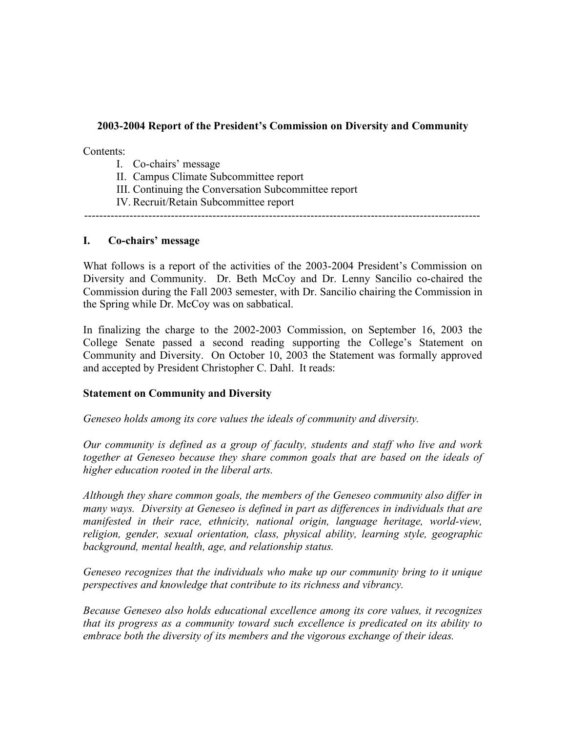#### **2003-2004 Report of the President's Commission on Diversity and Community**

Contents:

- I. Co-chairs' message
- II. Campus Climate Subcommittee report
- III. Continuing the Conversation Subcommittee report
- IV. Recruit/Retain Subcommittee report

---------------------------------------------------------------------------------------------------------

### **I. Co-chairs' message**

What follows is a report of the activities of the 2003-2004 President's Commission on Diversity and Community. Dr. Beth McCoy and Dr. Lenny Sancilio co-chaired the Commission during the Fall 2003 semester, with Dr. Sancilio chairing the Commission in the Spring while Dr. McCoy was on sabbatical.

In finalizing the charge to the 2002-2003 Commission, on September 16, 2003 the College Senate passed a second reading supporting the College's Statement on Community and Diversity. On October 10, 2003 the Statement was formally approved and accepted by President Christopher C. Dahl. It reads:

#### **Statement on Community and Diversity**

*Geneseo holds among its core values the ideals of community and diversity.*

*Our community is defined as a group of faculty, students and staff who live and work together at Geneseo because they share common goals that are based on the ideals of higher education rooted in the liberal arts.*

*Although they share common goals, the members of the Geneseo community also differ in many ways. Diversity at Geneseo is defined in part as differences in individuals that are manifested in their race, ethnicity, national origin, language heritage, world-view, religion, gender, sexual orientation, class, physical ability, learning style, geographic background, mental health, age, and relationship status.*

*Geneseo recognizes that the individuals who make up our community bring to it unique perspectives and knowledge that contribute to its richness and vibrancy.*

*Because Geneseo also holds educational excellence among its core values, it recognizes that its progress as a community toward such excellence is predicated on its ability to embrace both the diversity of its members and the vigorous exchange of their ideas.*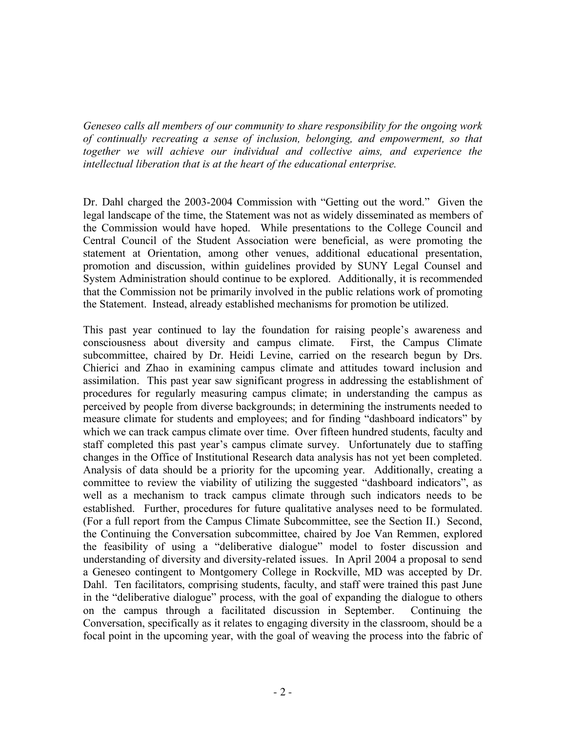*Geneseo calls all members of our community to share responsibility for the ongoing work of continually recreating a sense of inclusion, belonging, and empowerment, so that together we will achieve our individual and collective aims, and experience the intellectual liberation that is at the heart of the educational enterprise.*

Dr. Dahl charged the 2003-2004 Commission with "Getting out the word." Given the legal landscape of the time, the Statement was not as widely disseminated as members of the Commission would have hoped. While presentations to the College Council and Central Council of the Student Association were beneficial, as were promoting the statement at Orientation, among other venues, additional educational presentation, promotion and discussion, within guidelines provided by SUNY Legal Counsel and System Administration should continue to be explored. Additionally, it is recommended that the Commission not be primarily involved in the public relations work of promoting the Statement. Instead, already established mechanisms for promotion be utilized.

This past year continued to lay the foundation for raising people's awareness and consciousness about diversity and campus climate. First, the Campus Climate subcommittee, chaired by Dr. Heidi Levine, carried on the research begun by Drs. Chierici and Zhao in examining campus climate and attitudes toward inclusion and assimilation. This past year saw significant progress in addressing the establishment of procedures for regularly measuring campus climate; in understanding the campus as perceived by people from diverse backgrounds; in determining the instruments needed to measure climate for students and employees; and for finding "dashboard indicators" by which we can track campus climate over time. Over fifteen hundred students, faculty and staff completed this past year's campus climate survey. Unfortunately due to staffing changes in the Office of Institutional Research data analysis has not yet been completed. Analysis of data should be a priority for the upcoming year. Additionally, creating a committee to review the viability of utilizing the suggested "dashboard indicators", as well as a mechanism to track campus climate through such indicators needs to be established. Further, procedures for future qualitative analyses need to be formulated. (For a full report from the Campus Climate Subcommittee, see the Section II.) Second, the Continuing the Conversation subcommittee, chaired by Joe Van Remmen, explored the feasibility of using a "deliberative dialogue" model to foster discussion and understanding of diversity and diversity-related issues. In April 2004 a proposal to send a Geneseo contingent to Montgomery College in Rockville, MD was accepted by Dr. Dahl. Ten facilitators, comprising students, faculty, and staff were trained this past June in the "deliberative dialogue" process, with the goal of expanding the dialogue to others on the campus through a facilitated discussion in September. Continuing the Conversation, specifically as it relates to engaging diversity in the classroom, should be a focal point in the upcoming year, with the goal of weaving the process into the fabric of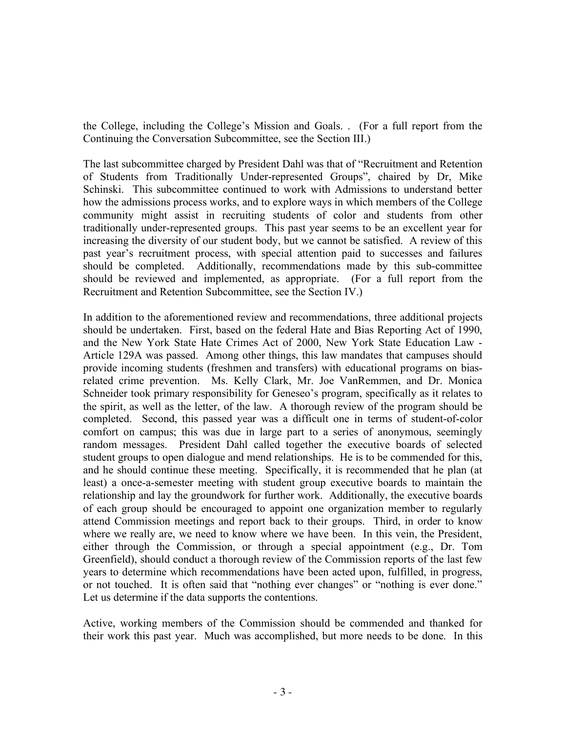the College, including the College's Mission and Goals. . (For a full report from the Continuing the Conversation Subcommittee, see the Section III.)

The last subcommittee charged by President Dahl was that of "Recruitment and Retention of Students from Traditionally Under-represented Groups", chaired by Dr, Mike Schinski. This subcommittee continued to work with Admissions to understand better how the admissions process works, and to explore ways in which members of the College community might assist in recruiting students of color and students from other traditionally under-represented groups. This past year seems to be an excellent year for increasing the diversity of our student body, but we cannot be satisfied. A review of this past year's recruitment process, with special attention paid to successes and failures should be completed. Additionally, recommendations made by this sub-committee should be reviewed and implemented, as appropriate. (For a full report from the Recruitment and Retention Subcommittee, see the Section IV.)

In addition to the aforementioned review and recommendations, three additional projects should be undertaken. First, based on the federal Hate and Bias Reporting Act of 1990, and the New York State Hate Crimes Act of 2000, New York State Education Law - Article 129A was passed. Among other things, this law mandates that campuses should provide incoming students (freshmen and transfers) with educational programs on biasrelated crime prevention. Ms. Kelly Clark, Mr. Joe VanRemmen, and Dr. Monica Schneider took primary responsibility for Geneseo's program, specifically as it relates to the spirit, as well as the letter, of the law. A thorough review of the program should be completed. Second, this passed year was a difficult one in terms of student-of-color comfort on campus; this was due in large part to a series of anonymous, seemingly random messages. President Dahl called together the executive boards of selected student groups to open dialogue and mend relationships. He is to be commended for this, and he should continue these meeting. Specifically, it is recommended that he plan (at least) a once-a-semester meeting with student group executive boards to maintain the relationship and lay the groundwork for further work. Additionally, the executive boards of each group should be encouraged to appoint one organization member to regularly attend Commission meetings and report back to their groups. Third, in order to know where we really are, we need to know where we have been. In this vein, the President, either through the Commission, or through a special appointment (e.g., Dr. Tom Greenfield), should conduct a thorough review of the Commission reports of the last few years to determine which recommendations have been acted upon, fulfilled, in progress, or not touched. It is often said that "nothing ever changes" or "nothing is ever done." Let us determine if the data supports the contentions.

Active, working members of the Commission should be commended and thanked for their work this past year. Much was accomplished, but more needs to be done. In this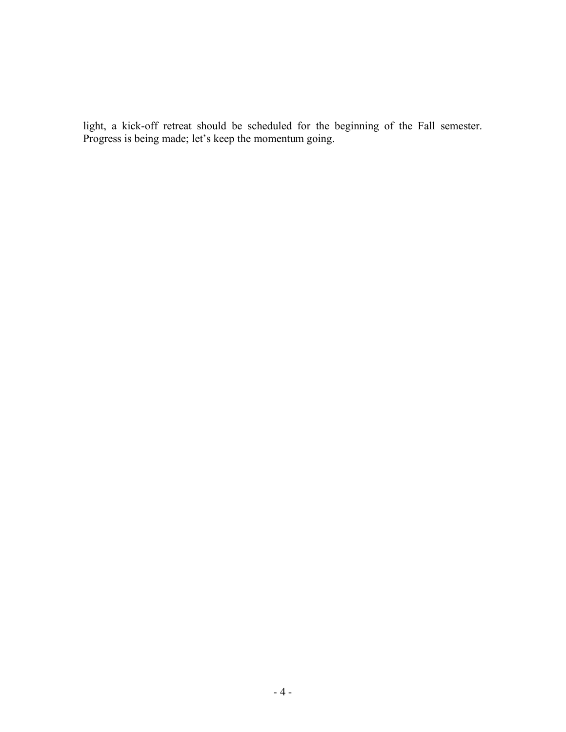light, a kick-off retreat should be scheduled for the beginning of the Fall semester. Progress is being made; let's keep the momentum going.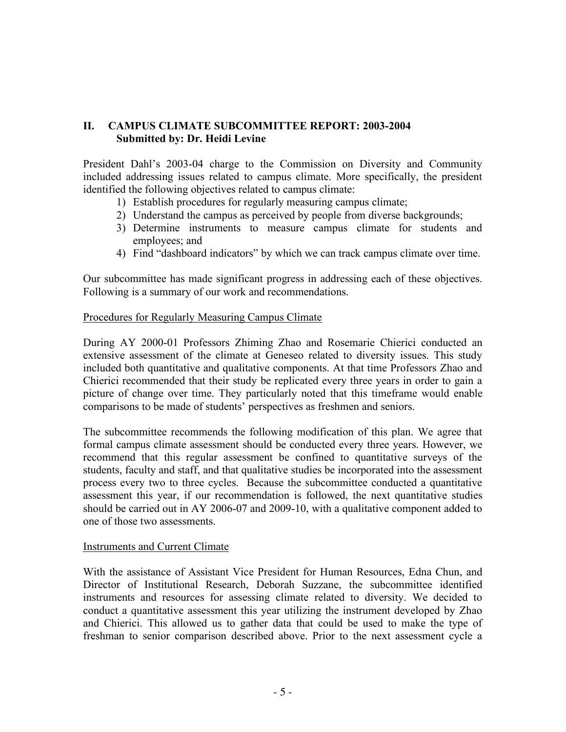# **II. CAMPUS CLIMATE SUBCOMMITTEE REPORT: 2003-2004 Submitted by: Dr. Heidi Levine**

President Dahl's 2003-04 charge to the Commission on Diversity and Community included addressing issues related to campus climate. More specifically, the president identified the following objectives related to campus climate:

- 1) Establish procedures for regularly measuring campus climate;
- 2) Understand the campus as perceived by people from diverse backgrounds;
- 3) Determine instruments to measure campus climate for students and employees; and
- 4) Find "dashboard indicators" by which we can track campus climate over time.

Our subcommittee has made significant progress in addressing each of these objectives. Following is a summary of our work and recommendations.

#### Procedures for Regularly Measuring Campus Climate

During AY 2000-01 Professors Zhiming Zhao and Rosemarie Chierici conducted an extensive assessment of the climate at Geneseo related to diversity issues. This study included both quantitative and qualitative components. At that time Professors Zhao and Chierici recommended that their study be replicated every three years in order to gain a picture of change over time. They particularly noted that this timeframe would enable comparisons to be made of students' perspectives as freshmen and seniors.

The subcommittee recommends the following modification of this plan. We agree that formal campus climate assessment should be conducted every three years. However, we recommend that this regular assessment be confined to quantitative surveys of the students, faculty and staff, and that qualitative studies be incorporated into the assessment process every two to three cycles. Because the subcommittee conducted a quantitative assessment this year, if our recommendation is followed, the next quantitative studies should be carried out in AY 2006-07 and 2009-10, with a qualitative component added to one of those two assessments.

#### Instruments and Current Climate

With the assistance of Assistant Vice President for Human Resources, Edna Chun, and Director of Institutional Research, Deborah Suzzane, the subcommittee identified instruments and resources for assessing climate related to diversity. We decided to conduct a quantitative assessment this year utilizing the instrument developed by Zhao and Chierici. This allowed us to gather data that could be used to make the type of freshman to senior comparison described above. Prior to the next assessment cycle a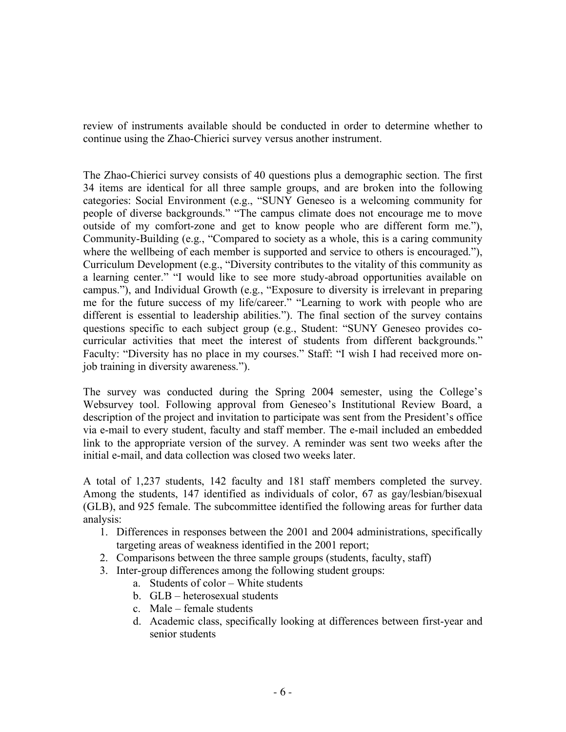review of instruments available should be conducted in order to determine whether to continue using the Zhao-Chierici survey versus another instrument.

The Zhao-Chierici survey consists of 40 questions plus a demographic section. The first 34 items are identical for all three sample groups, and are broken into the following categories: Social Environment (e.g., "SUNY Geneseo is a welcoming community for people of diverse backgrounds." "The campus climate does not encourage me to move outside of my comfort-zone and get to know people who are different form me."), Community-Building (e.g., "Compared to society as a whole, this is a caring community where the wellbeing of each member is supported and service to others is encouraged."), Curriculum Development (e.g., "Diversity contributes to the vitality of this community as a learning center." "I would like to see more study-abroad opportunities available on campus."), and Individual Growth (e.g., "Exposure to diversity is irrelevant in preparing me for the future success of my life/career." "Learning to work with people who are different is essential to leadership abilities."). The final section of the survey contains questions specific to each subject group (e.g., Student: "SUNY Geneseo provides cocurricular activities that meet the interest of students from different backgrounds." Faculty: "Diversity has no place in my courses." Staff: "I wish I had received more onjob training in diversity awareness.").

The survey was conducted during the Spring 2004 semester, using the College's Websurvey tool. Following approval from Geneseo's Institutional Review Board, a description of the project and invitation to participate was sent from the President's office via e-mail to every student, faculty and staff member. The e-mail included an embedded link to the appropriate version of the survey. A reminder was sent two weeks after the initial e-mail, and data collection was closed two weeks later.

A total of 1,237 students, 142 faculty and 181 staff members completed the survey. Among the students, 147 identified as individuals of color, 67 as gay/lesbian/bisexual (GLB), and 925 female. The subcommittee identified the following areas for further data analysis:

- 1. Differences in responses between the 2001 and 2004 administrations, specifically targeting areas of weakness identified in the 2001 report;
- 2. Comparisons between the three sample groups (students, faculty, staff)
- 3. Inter-group differences among the following student groups:
	- a. Students of color White students
	- b. GLB heterosexual students
	- c. Male female students
	- d. Academic class, specifically looking at differences between first-year and senior students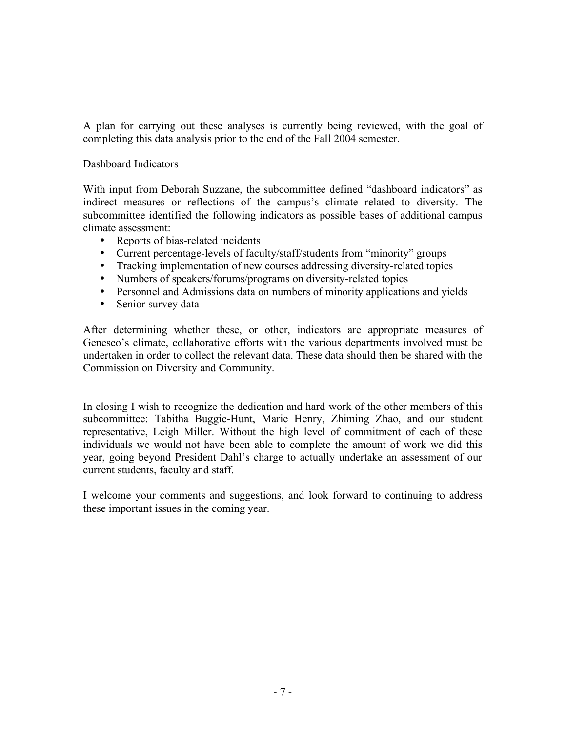A plan for carrying out these analyses is currently being reviewed, with the goal of completing this data analysis prior to the end of the Fall 2004 semester.

## Dashboard Indicators

With input from Deborah Suzzane, the subcommittee defined "dashboard indicators" as indirect measures or reflections of the campus's climate related to diversity. The subcommittee identified the following indicators as possible bases of additional campus climate assessment:

- Reports of bias-related incidents
- Current percentage-levels of faculty/staff/students from "minority" groups
- Tracking implementation of new courses addressing diversity-related topics
- Numbers of speakers/forums/programs on diversity-related topics
- Personnel and Admissions data on numbers of minority applications and yields
- Senior survey data

After determining whether these, or other, indicators are appropriate measures of Geneseo's climate, collaborative efforts with the various departments involved must be undertaken in order to collect the relevant data. These data should then be shared with the Commission on Diversity and Community.

In closing I wish to recognize the dedication and hard work of the other members of this subcommittee: Tabitha Buggie-Hunt, Marie Henry, Zhiming Zhao, and our student representative, Leigh Miller. Without the high level of commitment of each of these individuals we would not have been able to complete the amount of work we did this year, going beyond President Dahl's charge to actually undertake an assessment of our current students, faculty and staff.

I welcome your comments and suggestions, and look forward to continuing to address these important issues in the coming year.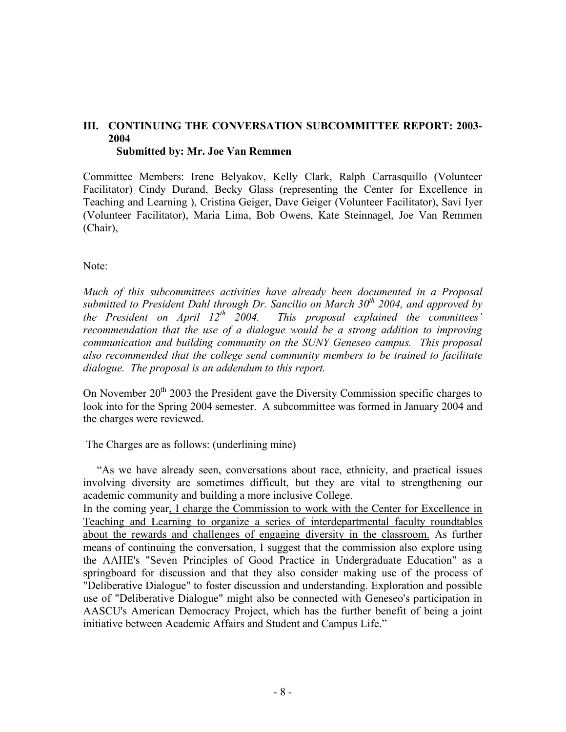### **III. CONTINUING THE CONVERSATION SUBCOMMITTEE REPORT: 2003- 2004 Submitted by: Mr. Joe Van Remmen**

Committee Members: Irene Belyakov, Kelly Clark, Ralph Carrasquillo (Volunteer Facilitator) Cindy Durand, Becky Glass (representing the Center for Excellence in Teaching and Learning ), Cristina Geiger, Dave Geiger (Volunteer Facilitator), Savi Iyer (Volunteer Facilitator), Maria Lima, Bob Owens, Kate Steinnagel, Joe Van Remmen (Chair),

Note:

*Much of this subcommittees activities have already been documented in a Proposal submitted to President Dahl through Dr. Sancilio on March 30<sup>th</sup> 2004, and approved by the President on April 12<sup>th</sup> 2004. This proposal explained the committees' This proposal explained the committees' recommendation that the use of a dialogue would be a strong addition to improving communication and building community on the SUNY Geneseo campus. This proposal also recommended that the college send community members to be trained to facilitate dialogue. The proposal is an addendum to this report.*

On November  $20<sup>th</sup> 2003$  the President gave the Diversity Commission specific charges to look into for the Spring 2004 semester. A subcommittee was formed in January 2004 and the charges were reviewed.

The Charges are as follows: (underlining mine)

"As we have already seen, conversations about race, ethnicity, and practical issues involving diversity are sometimes difficult, but they are vital to strengthening our academic community and building a more inclusive College.

In the coming year, I charge the Commission to work with the Center for Excellence in Teaching and Learning to organize a series of interdepartmental faculty roundtables about the rewards and challenges of engaging diversity in the classroom. As further means of continuing the conversation, I suggest that the commission also explore using the AAHE's "Seven Principles of Good Practice in Undergraduate Education" as a springboard for discussion and that they also consider making use of the process of "Deliberative Dialogue" to foster discussion and understanding. Exploration and possible use of "Deliberative Dialogue" might also be connected with Geneseo's participation in AASCU's American Democracy Project, which has the further benefit of being a joint initiative between Academic Affairs and Student and Campus Life."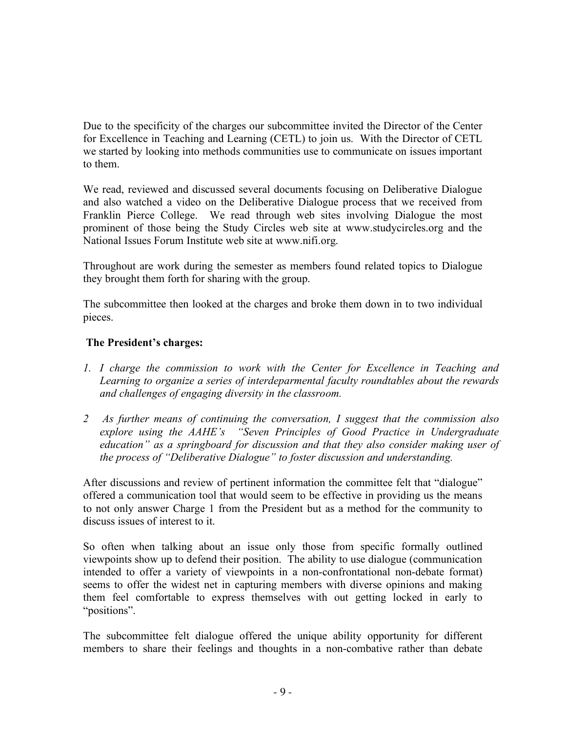Due to the specificity of the charges our subcommittee invited the Director of the Center for Excellence in Teaching and Learning (CETL) to join us. With the Director of CETL we started by looking into methods communities use to communicate on issues important to them.

We read, reviewed and discussed several documents focusing on Deliberative Dialogue and also watched a video on the Deliberative Dialogue process that we received from Franklin Pierce College. We read through web sites involving Dialogue the most prominent of those being the Study Circles web site at www.studycircles.org and the National Issues Forum Institute web site at www.nifi.org.

Throughout are work during the semester as members found related topics to Dialogue they brought them forth for sharing with the group.

The subcommittee then looked at the charges and broke them down in to two individual pieces.

# **The President's charges:**

- *1. I charge the commission to work with the Center for Excellence in Teaching and Learning to organize a series of interdeparmental faculty roundtables about the rewards and challenges of engaging diversity in the classroom.*
- *2 As further means of continuing the conversation, I suggest that the commission also explore using the AAHE's "Seven Principles of Good Practice in Undergraduate education" as a springboard for discussion and that they also consider making user of the process of "Deliberative Dialogue" to foster discussion and understanding.*

After discussions and review of pertinent information the committee felt that "dialogue" offered a communication tool that would seem to be effective in providing us the means to not only answer Charge 1 from the President but as a method for the community to discuss issues of interest to it.

So often when talking about an issue only those from specific formally outlined viewpoints show up to defend their position. The ability to use dialogue (communication intended to offer a variety of viewpoints in a non-confrontational non-debate format) seems to offer the widest net in capturing members with diverse opinions and making them feel comfortable to express themselves with out getting locked in early to "positions".

The subcommittee felt dialogue offered the unique ability opportunity for different members to share their feelings and thoughts in a non-combative rather than debate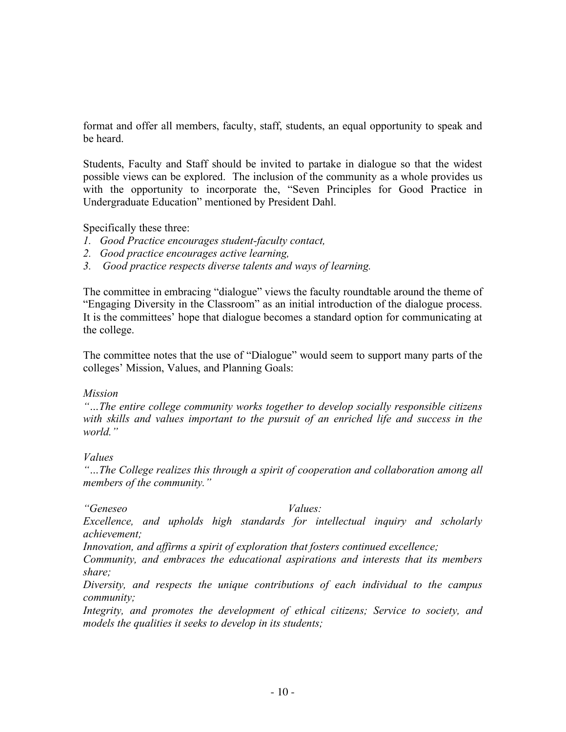format and offer all members, faculty, staff, students, an equal opportunity to speak and be heard.

Students, Faculty and Staff should be invited to partake in dialogue so that the widest possible views can be explored. The inclusion of the community as a whole provides us with the opportunity to incorporate the, "Seven Principles for Good Practice in Undergraduate Education" mentioned by President Dahl.

Specifically these three:

- *1. Good Practice encourages student-faculty contact,*
- *2. Good practice encourages active learning,*
- *3. Good practice respects diverse talents and ways of learning.*

The committee in embracing "dialogue" views the faculty roundtable around the theme of "Engaging Diversity in the Classroom" as an initial introduction of the dialogue process. It is the committees' hope that dialogue becomes a standard option for communicating at the college.

The committee notes that the use of "Dialogue" would seem to support many parts of the colleges' Mission, Values, and Planning Goals:

#### *Mission*

*"…The entire college community works together to develop socially responsible citizens with skills and values important to the pursuit of an enriched life and success in the world."*

#### *Values*

*"…The College realizes this through a spirit of cooperation and collaboration among all members of the community."*

*"Geneseo Values:*

*Excellence, and upholds high standards for intellectual inquiry and scholarly achievement;*

*Innovation, and affirms a spirit of exploration that fosters continued excellence;*

*Community, and embraces the educational aspirations and interests that its members share;*

*Diversity, and respects the unique contributions of each individual to the campus community;*

*Integrity, and promotes the development of ethical citizens; Service to society, and models the qualities it seeks to develop in its students;*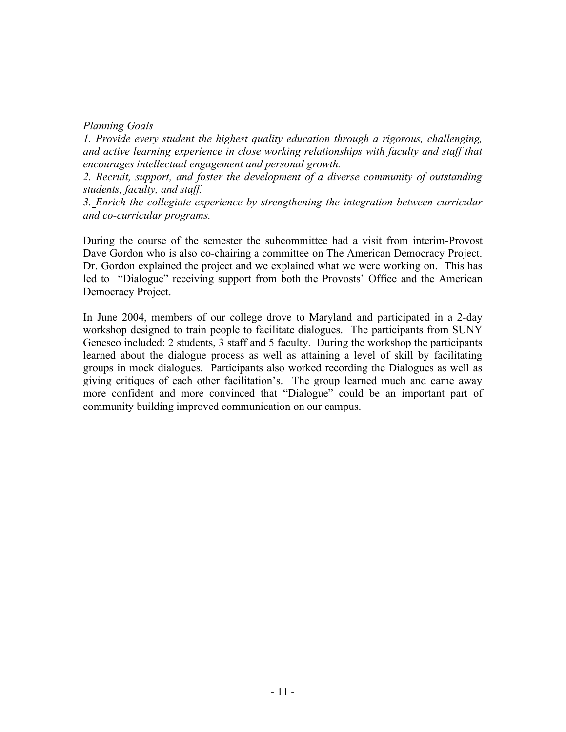## *Planning Goals*

*1. Provide every student the highest quality education through a rigorous, challenging, and active learning experience in close working relationships with faculty and staff that encourages intellectual engagement and personal growth.*

*2. Recruit, support, and foster the development of a diverse community of outstanding students, faculty, and staff.*

*3. Enrich the collegiate experience by strengthening the integration between curricular and co-curricular programs.*

During the course of the semester the subcommittee had a visit from interim-Provost Dave Gordon who is also co-chairing a committee on The American Democracy Project. Dr. Gordon explained the project and we explained what we were working on. This has led to "Dialogue" receiving support from both the Provosts' Office and the American Democracy Project.

In June 2004, members of our college drove to Maryland and participated in a 2-day workshop designed to train people to facilitate dialogues. The participants from SUNY Geneseo included: 2 students, 3 staff and 5 faculty. During the workshop the participants learned about the dialogue process as well as attaining a level of skill by facilitating groups in mock dialogues. Participants also worked recording the Dialogues as well as giving critiques of each other facilitation's. The group learned much and came away more confident and more convinced that "Dialogue" could be an important part of community building improved communication on our campus.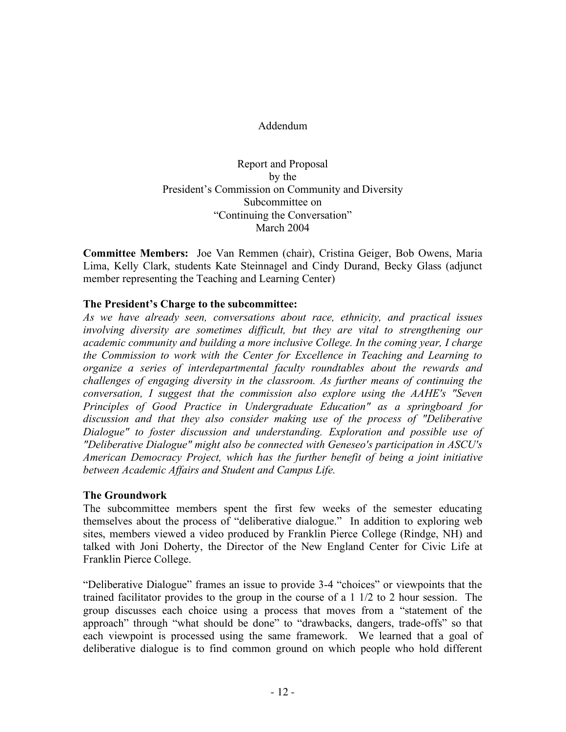## Addendum

Report and Proposal by the President's Commission on Community and Diversity Subcommittee on "Continuing the Conversation" March 2004

**Committee Members:** Joe Van Remmen (chair), Cristina Geiger, Bob Owens, Maria Lima, Kelly Clark, students Kate Steinnagel and Cindy Durand, Becky Glass (adjunct member representing the Teaching and Learning Center)

#### **The President's Charge to the subcommittee:**

*As we have already seen, conversations about race, ethnicity, and practical issues involving diversity are sometimes difficult, but they are vital to strengthening our academic community and building a more inclusive College. In the coming year, I charge the Commission to work with the Center for Excellence in Teaching and Learning to organize a series of interdepartmental faculty roundtables about the rewards and challenges of engaging diversity in the classroom. As further means of continuing the conversation, I suggest that the commission also explore using the AAHE's "Seven Principles of Good Practice in Undergraduate Education" as a springboard for discussion and that they also consider making use of the process of "Deliberative Dialogue" to foster discussion and understanding. Exploration and possible use of "Deliberative Dialogue" might also be connected with Geneseo's participation in ASCU's American Democracy Project, which has the further benefit of being a joint initiative between Academic Affairs and Student and Campus Life.*

# **The Groundwork**

The subcommittee members spent the first few weeks of the semester educating themselves about the process of "deliberative dialogue." In addition to exploring web sites, members viewed a video produced by Franklin Pierce College (Rindge, NH) and talked with Joni Doherty, the Director of the New England Center for Civic Life at Franklin Pierce College.

"Deliberative Dialogue" frames an issue to provide 3-4 "choices" or viewpoints that the trained facilitator provides to the group in the course of a 1 1/2 to 2 hour session. The group discusses each choice using a process that moves from a "statement of the approach" through "what should be done" to "drawbacks, dangers, trade-offs" so that each viewpoint is processed using the same framework. We learned that a goal of deliberative dialogue is to find common ground on which people who hold different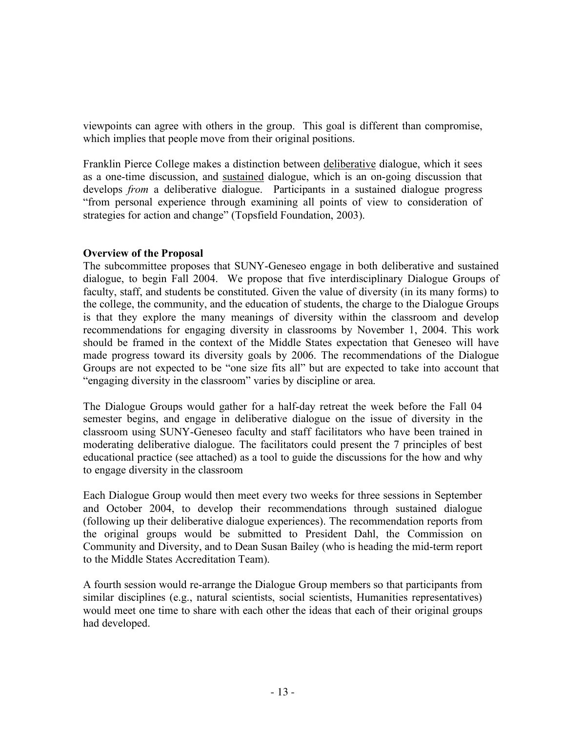viewpoints can agree with others in the group. This goal is different than compromise, which implies that people move from their original positions.

Franklin Pierce College makes a distinction between deliberative dialogue, which it sees as a one-time discussion, and sustained dialogue, which is an on-going discussion that develops *from* a deliberative dialogue. Participants in a sustained dialogue progress "from personal experience through examining all points of view to consideration of strategies for action and change" (Topsfield Foundation, 2003).

## **Overview of the Proposal**

The subcommittee proposes that SUNY-Geneseo engage in both deliberative and sustained dialogue, to begin Fall 2004. We propose that five interdisciplinary Dialogue Groups of faculty, staff, and students be constituted. Given the value of diversity (in its many forms) to the college, the community, and the education of students, the charge to the Dialogue Groups is that they explore the many meanings of diversity within the classroom and develop recommendations for engaging diversity in classrooms by November 1, 2004. This work should be framed in the context of the Middle States expectation that Geneseo will have made progress toward its diversity goals by 2006. The recommendations of the Dialogue Groups are not expected to be "one size fits all" but are expected to take into account that "engaging diversity in the classroom" varies by discipline or area.

The Dialogue Groups would gather for a half-day retreat the week before the Fall 04 semester begins, and engage in deliberative dialogue on the issue of diversity in the classroom using SUNY-Geneseo faculty and staff facilitators who have been trained in moderating deliberative dialogue. The facilitators could present the 7 principles of best educational practice (see attached) as a tool to guide the discussions for the how and why to engage diversity in the classroom

Each Dialogue Group would then meet every two weeks for three sessions in September and October 2004, to develop their recommendations through sustained dialogue (following up their deliberative dialogue experiences). The recommendation reports from the original groups would be submitted to President Dahl, the Commission on Community and Diversity, and to Dean Susan Bailey (who is heading the mid-term report to the Middle States Accreditation Team).

A fourth session would re-arrange the Dialogue Group members so that participants from similar disciplines (e.g., natural scientists, social scientists, Humanities representatives) would meet one time to share with each other the ideas that each of their original groups had developed.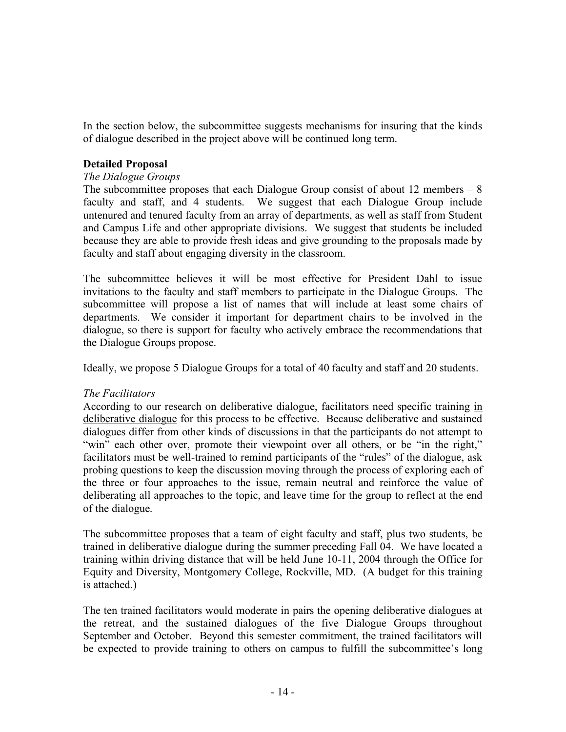In the section below, the subcommittee suggests mechanisms for insuring that the kinds of dialogue described in the project above will be continued long term.

## **Detailed Proposal**

## *The Dialogue Groups*

The subcommittee proposes that each Dialogue Group consist of about 12 members – 8 faculty and staff, and 4 students. We suggest that each Dialogue Group include untenured and tenured faculty from an array of departments, as well as staff from Student and Campus Life and other appropriate divisions. We suggest that students be included because they are able to provide fresh ideas and give grounding to the proposals made by faculty and staff about engaging diversity in the classroom.

The subcommittee believes it will be most effective for President Dahl to issue invitations to the faculty and staff members to participate in the Dialogue Groups. The subcommittee will propose a list of names that will include at least some chairs of departments. We consider it important for department chairs to be involved in the dialogue, so there is support for faculty who actively embrace the recommendations that the Dialogue Groups propose.

Ideally, we propose 5 Dialogue Groups for a total of 40 faculty and staff and 20 students.

# *The Facilitators*

According to our research on deliberative dialogue, facilitators need specific training in deliberative dialogue for this process to be effective. Because deliberative and sustained dialogues differ from other kinds of discussions in that the participants do not attempt to "win" each other over, promote their viewpoint over all others, or be "in the right," facilitators must be well-trained to remind participants of the "rules" of the dialogue, ask probing questions to keep the discussion moving through the process of exploring each of the three or four approaches to the issue, remain neutral and reinforce the value of deliberating all approaches to the topic, and leave time for the group to reflect at the end of the dialogue.

The subcommittee proposes that a team of eight faculty and staff, plus two students, be trained in deliberative dialogue during the summer preceding Fall 04. We have located a training within driving distance that will be held June 10-11, 2004 through the Office for Equity and Diversity, Montgomery College, Rockville, MD. (A budget for this training is attached.)

The ten trained facilitators would moderate in pairs the opening deliberative dialogues at the retreat, and the sustained dialogues of the five Dialogue Groups throughout September and October. Beyond this semester commitment, the trained facilitators will be expected to provide training to others on campus to fulfill the subcommittee's long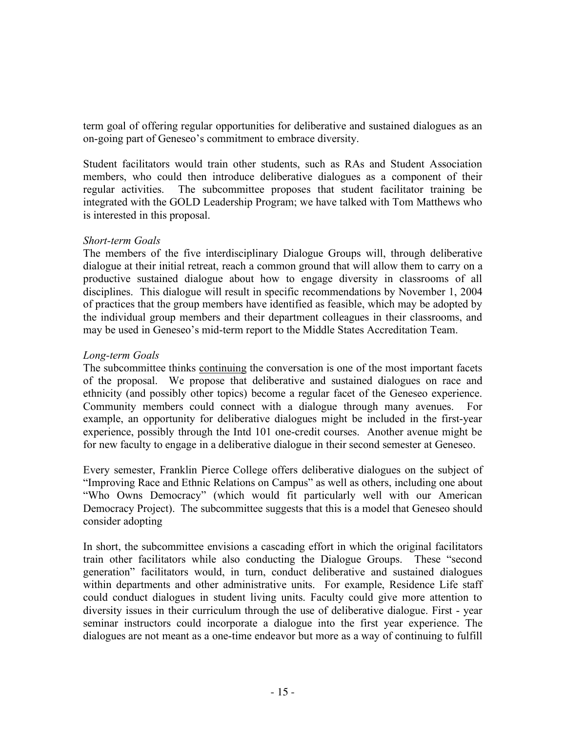term goal of offering regular opportunities for deliberative and sustained dialogues as an on-going part of Geneseo's commitment to embrace diversity.

Student facilitators would train other students, such as RAs and Student Association members, who could then introduce deliberative dialogues as a component of their regular activities. The subcommittee proposes that student facilitator training be integrated with the GOLD Leadership Program; we have talked with Tom Matthews who is interested in this proposal.

## *Short-term Goals*

The members of the five interdisciplinary Dialogue Groups will, through deliberative dialogue at their initial retreat, reach a common ground that will allow them to carry on a productive sustained dialogue about how to engage diversity in classrooms of all disciplines. This dialogue will result in specific recommendations by November 1, 2004 of practices that the group members have identified as feasible, which may be adopted by the individual group members and their department colleagues in their classrooms, and may be used in Geneseo's mid-term report to the Middle States Accreditation Team.

# *Long-term Goals*

The subcommittee thinks continuing the conversation is one of the most important facets of the proposal. We propose that deliberative and sustained dialogues on race and ethnicity (and possibly other topics) become a regular facet of the Geneseo experience. Community members could connect with a dialogue through many avenues. For example, an opportunity for deliberative dialogues might be included in the first-year experience, possibly through the Intd 101 one-credit courses. Another avenue might be for new faculty to engage in a deliberative dialogue in their second semester at Geneseo.

Every semester, Franklin Pierce College offers deliberative dialogues on the subject of "Improving Race and Ethnic Relations on Campus" as well as others, including one about "Who Owns Democracy" (which would fit particularly well with our American Democracy Project). The subcommittee suggests that this is a model that Geneseo should consider adopting

In short, the subcommittee envisions a cascading effort in which the original facilitators train other facilitators while also conducting the Dialogue Groups. These "second generation" facilitators would, in turn, conduct deliberative and sustained dialogues within departments and other administrative units. For example, Residence Life staff could conduct dialogues in student living units. Faculty could give more attention to diversity issues in their curriculum through the use of deliberative dialogue. First - year seminar instructors could incorporate a dialogue into the first year experience. The dialogues are not meant as a one-time endeavor but more as a way of continuing to fulfill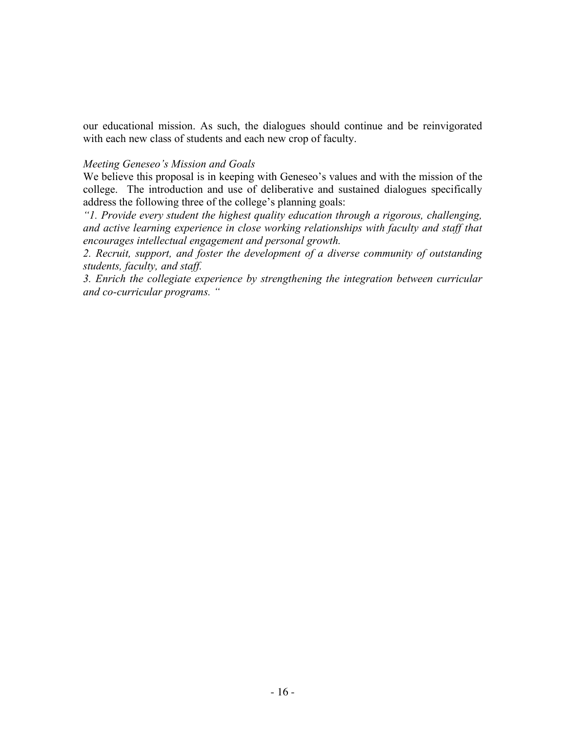our educational mission. As such, the dialogues should continue and be reinvigorated with each new class of students and each new crop of faculty.

#### *Meeting Geneseo's Mission and Goals*

We believe this proposal is in keeping with Geneseo's values and with the mission of the college. The introduction and use of deliberative and sustained dialogues specifically address the following three of the college's planning goals:

*"1. Provide every student the highest quality education through a rigorous, challenging, and active learning experience in close working relationships with faculty and staff that encourages intellectual engagement and personal growth.*

*2. Recruit, support, and foster the development of a diverse community of outstanding students, faculty, and staff.*

*3. Enrich the collegiate experience by strengthening the integration between curricular and co-curricular programs. "*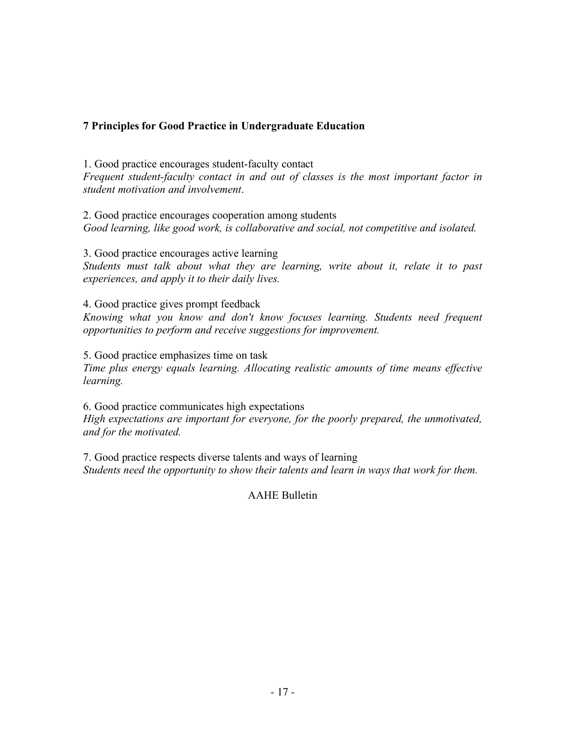# **7 Principles for Good Practice in Undergraduate Education**

1. Good practice encourages student-faculty contact *Frequent student-faculty contact in and out of classes is the most important factor in student motivation and involvement*.

2. Good practice encourages cooperation among students *Good learning, like good work, is collaborative and social, not competitive and isolated.*

3. Good practice encourages active learning *Students must talk about what they are learning, write about it, relate it to past experiences, and apply it to their daily lives.*

4. Good practice gives prompt feedback *Knowing what you know and don't know focuses learning. Students need frequent opportunities to perform and receive suggestions for improvement.*

5. Good practice emphasizes time on task *Time plus energy equals learning. Allocating realistic amounts of time means effective learning.*

6. Good practice communicates high expectations *High expectations are important for everyone, for the poorly prepared, the unmotivated, and for the motivated.*

7. Good practice respects diverse talents and ways of learning *Students need the opportunity to show their talents and learn in ways that work for them.*

AAHE Bulletin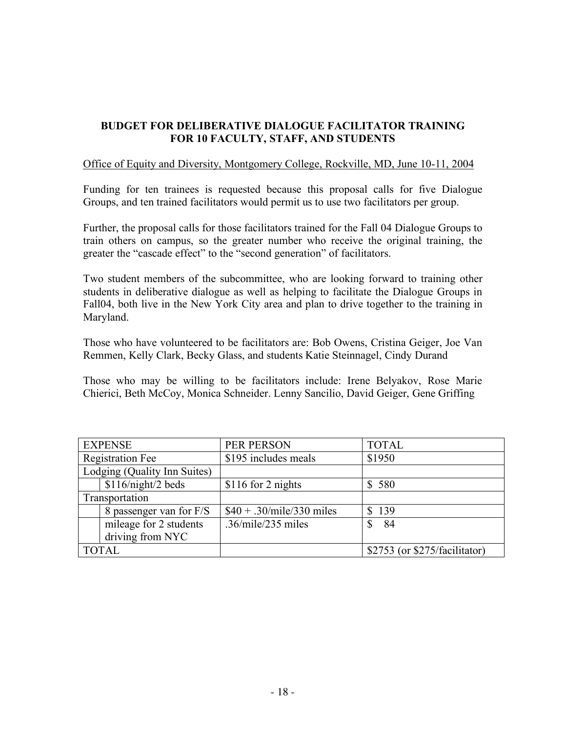# **BUDGET FOR DELIBERATIVE DIALOGUE FACILITATOR TRAINING FOR 10 FACULTY, STAFF, AND STUDENTS**

#### Office of Equity and Diversity, Montgomery College, Rockville, MD, June 10-11, 2004

Funding for ten trainees is requested because this proposal calls for five Dialogue Groups, and ten trained facilitators would permit us to use two facilitators per group.

Further, the proposal calls for those facilitators trained for the Fall 04 Dialogue Groups to train others on campus, so the greater number who receive the original training, the greater the "cascade effect" to the "second generation" of facilitators.

Two student members of the subcommittee, who are looking forward to training other students in deliberative dialogue as well as helping to facilitate the Dialogue Groups in Fall04, both live in the New York City area and plan to drive together to the training in Maryland.

Those who have volunteered to be facilitators are: Bob Owens, Cristina Geiger, Joe Van Remmen, Kelly Clark, Becky Glass, and students Katie Steinnagel, Cindy Durand

Those who may be willing to be facilitators include: Irene Belyakov, Rose Marie Chierici, Beth McCoy, Monica Schneider. Lenny Sancilio, David Geiger, Gene Griffing

| <b>EXPENSE</b>               |                         | PER PERSON                 | <b>TOTAL</b>                      |
|------------------------------|-------------------------|----------------------------|-----------------------------------|
| <b>Registration Fee</b>      |                         | \$195 includes meals       | \$1950                            |
| Lodging (Quality Inn Suites) |                         |                            |                                   |
|                              | $$116/night/2$ beds     | \$116 for 2 nights         | \$580                             |
| Transportation               |                         |                            |                                   |
|                              | 8 passenger van for F/S | $$40 + .30/mile/330$ miles | \$139                             |
|                              | mileage for 2 students  | $.36$ /mile/235 miles      | -84                               |
|                              | driving from NYC        |                            |                                   |
| <b>TOTAL</b>                 |                         |                            | $$2753$ (or $$275/facilitator)$ ) |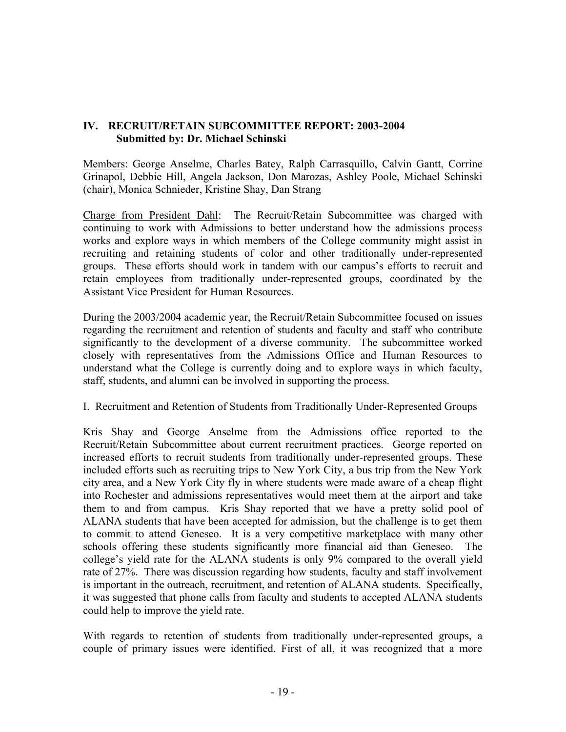# **IV. RECRUIT/RETAIN SUBCOMMITTEE REPORT: 2003-2004 Submitted by: Dr. Michael Schinski**

Members: George Anselme, Charles Batey, Ralph Carrasquillo, Calvin Gantt, Corrine Grinapol, Debbie Hill, Angela Jackson, Don Marozas, Ashley Poole, Michael Schinski (chair), Monica Schnieder, Kristine Shay, Dan Strang

Charge from President Dahl: The Recruit/Retain Subcommittee was charged with continuing to work with Admissions to better understand how the admissions process works and explore ways in which members of the College community might assist in recruiting and retaining students of color and other traditionally under-represented groups. These efforts should work in tandem with our campus's efforts to recruit and retain employees from traditionally under-represented groups, coordinated by the Assistant Vice President for Human Resources.

During the 2003/2004 academic year, the Recruit/Retain Subcommittee focused on issues regarding the recruitment and retention of students and faculty and staff who contribute significantly to the development of a diverse community. The subcommittee worked closely with representatives from the Admissions Office and Human Resources to understand what the College is currently doing and to explore ways in which faculty, staff, students, and alumni can be involved in supporting the process.

I. Recruitment and Retention of Students from Traditionally Under-Represented Groups

Kris Shay and George Anselme from the Admissions office reported to the Recruit/Retain Subcommittee about current recruitment practices. George reported on increased efforts to recruit students from traditionally under-represented groups. These included efforts such as recruiting trips to New York City, a bus trip from the New York city area, and a New York City fly in where students were made aware of a cheap flight into Rochester and admissions representatives would meet them at the airport and take them to and from campus. Kris Shay reported that we have a pretty solid pool of ALANA students that have been accepted for admission, but the challenge is to get them to commit to attend Geneseo. It is a very competitive marketplace with many other schools offering these students significantly more financial aid than Geneseo. The college's yield rate for the ALANA students is only 9% compared to the overall yield rate of 27%. There was discussion regarding how students, faculty and staff involvement is important in the outreach, recruitment, and retention of ALANA students. Specifically, it was suggested that phone calls from faculty and students to accepted ALANA students could help to improve the yield rate.

With regards to retention of students from traditionally under-represented groups, a couple of primary issues were identified. First of all, it was recognized that a more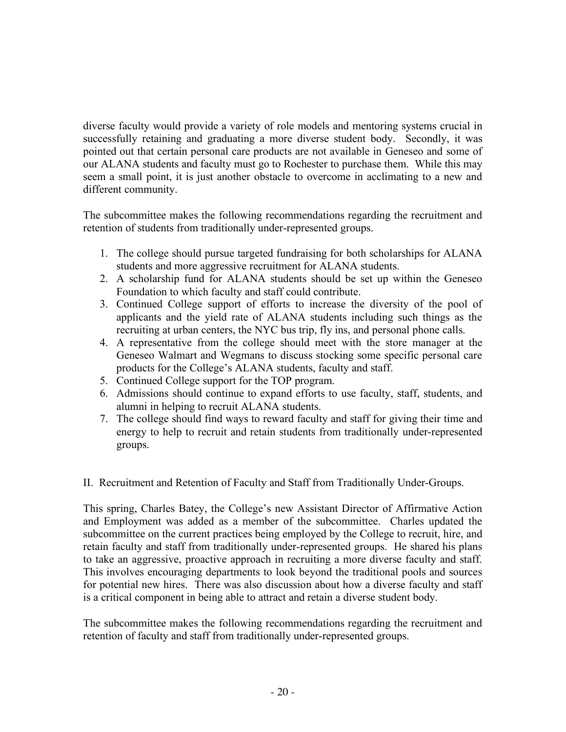diverse faculty would provide a variety of role models and mentoring systems crucial in successfully retaining and graduating a more diverse student body. Secondly, it was pointed out that certain personal care products are not available in Geneseo and some of our ALANA students and faculty must go to Rochester to purchase them. While this may seem a small point, it is just another obstacle to overcome in acclimating to a new and different community.

The subcommittee makes the following recommendations regarding the recruitment and retention of students from traditionally under-represented groups.

- 1. The college should pursue targeted fundraising for both scholarships for ALANA students and more aggressive recruitment for ALANA students.
- 2. A scholarship fund for ALANA students should be set up within the Geneseo Foundation to which faculty and staff could contribute.
- 3. Continued College support of efforts to increase the diversity of the pool of applicants and the yield rate of ALANA students including such things as the recruiting at urban centers, the NYC bus trip, fly ins, and personal phone calls.
- 4. A representative from the college should meet with the store manager at the Geneseo Walmart and Wegmans to discuss stocking some specific personal care products for the College's ALANA students, faculty and staff.
- 5. Continued College support for the TOP program.
- 6. Admissions should continue to expand efforts to use faculty, staff, students, and alumni in helping to recruit ALANA students.
- 7. The college should find ways to reward faculty and staff for giving their time and energy to help to recruit and retain students from traditionally under-represented groups.

II. Recruitment and Retention of Faculty and Staff from Traditionally Under-Groups.

This spring, Charles Batey, the College's new Assistant Director of Affirmative Action and Employment was added as a member of the subcommittee. Charles updated the subcommittee on the current practices being employed by the College to recruit, hire, and retain faculty and staff from traditionally under-represented groups. He shared his plans to take an aggressive, proactive approach in recruiting a more diverse faculty and staff. This involves encouraging departments to look beyond the traditional pools and sources for potential new hires. There was also discussion about how a diverse faculty and staff is a critical component in being able to attract and retain a diverse student body.

The subcommittee makes the following recommendations regarding the recruitment and retention of faculty and staff from traditionally under-represented groups.